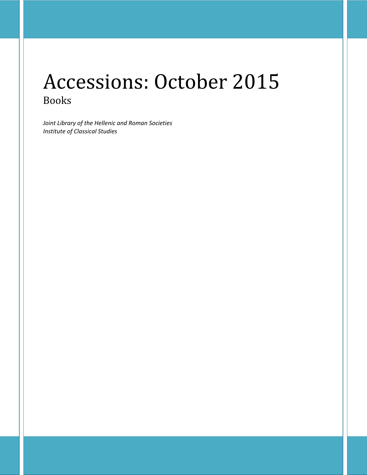# Accessions: October 2015 Books

*Joint Library of the Hellenic and Roman Societies Institute of Classical Studies*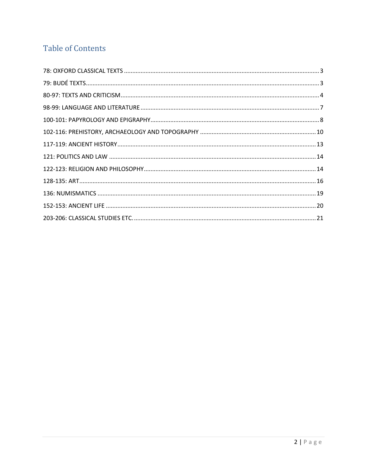# **Table of Contents**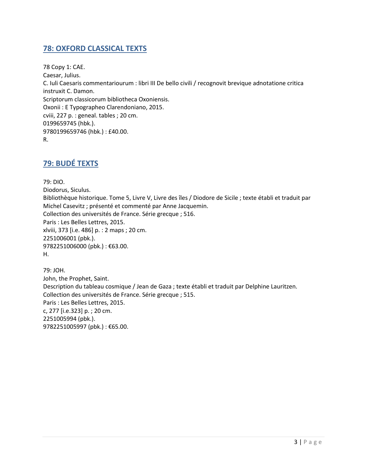# <span id="page-2-0"></span>**78: OXFORD CLASSICAL TEXTS**

78 Copy 1: CAE. Caesar, Julius. C. Iuli Caesaris commentariourum : libri III De bello civili / recognovit brevique adnotatione critica instruxit C. Damon. Scriptorum classicorum bibliotheca Oxoniensis. Oxonii : E Typographeo Clarendoniano, 2015. cviii, 227 p. : geneal. tables ; 20 cm. 0199659745 (hbk.). 9780199659746 (hbk.) : £40.00. R.

# <span id="page-2-1"></span>**79: BUDÉ TEXTS**

79: DIO. Diodorus, Siculus. Bibliothèque historique. Tome 5, Livre V, Livre des îles / Diodore de Sicile ; texte établi et traduit par Michel Casevitz ; présenté et commenté par Anne Jacquemin. Collection des universités de France. Série grecque ; 516. Paris : Les Belles Lettres, 2015. xlviii, 373 [i.e. 486] p. : 2 maps ; 20 cm. 2251006001 (pbk.). 9782251006000 (pbk.) : €63.00. H.

79: JOH. John, the Prophet, Saint. Description du tableau cosmique / Jean de Gaza ; texte établi et traduit par Delphine Lauritzen. Collection des universités de France. Série grecque ; 515. Paris : Les Belles Lettres, 2015. c, 277 [i.e.323] p. ; 20 cm. 2251005994 (pbk.). 9782251005997 (pbk.): €65.00.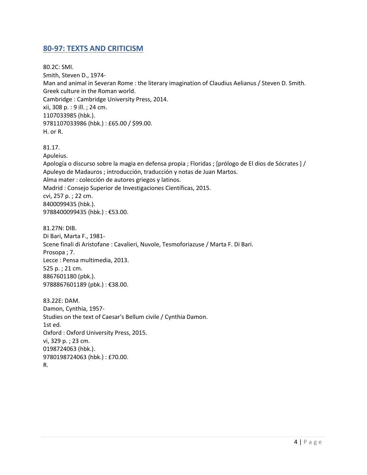#### <span id="page-3-0"></span>**80-97: TEXTS AND CRITICISM**

80.2C: SMI. Smith, Steven D., 1974- Man and animal in Severan Rome : the literary imagination of Claudius Aelianus / Steven D. Smith. Greek culture in the Roman world. Cambridge : Cambridge University Press, 2014. xii, 308 p. : 9 ill. ; 24 cm. 1107033985 (hbk.). 9781107033986 (hbk.) : £65.00 / \$99.00. H. or R.

81.17.

Apuleius.

Apología o discurso sobre la magia en defensa propia ; Floridas ; [prólogo de El dios de Sócrates ] / Apuleyo de Madauros ; introducción, traducción y notas de Juan Martos. Alma mater : colección de autores griegos y latinos. Madrid : Consejo Superior de Investigaciones Científicas, 2015. cvi, 257 p. ; 22 cm. 8400099435 (hbk.). 9788400099435 (hbk.) : €53.00.

81.27N: DIB. Di Bari, Marta F., 1981- Scene finali di Aristofane : Cavalieri, Nuvole, Tesmoforiazuse / Marta F. Di Bari. Prosopa ; 7. Lecce : Pensa multimedia, 2013. 525 p. ; 21 cm. 8867601180 (pbk.). 9788867601189 (pbk.) : €38.00.

83.22E: DAM. Damon, Cynthia, 1957- Studies on the text of Caesar's Bellum civile / Cynthia Damon. 1st ed. Oxford : Oxford University Press, 2015. vi, 329 p. ; 23 cm. 0198724063 (hbk.). 9780198724063 (hbk.) : £70.00. R.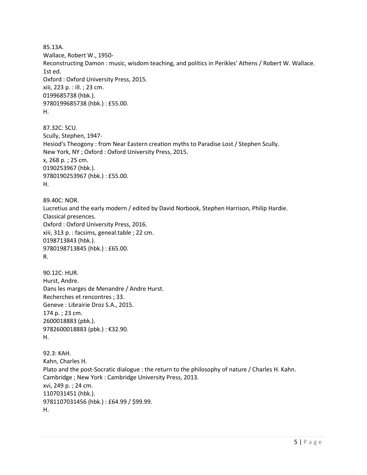85.13A. Wallace, Robert W., 1950- Reconstructing Damon : music, wisdom teaching, and politics in Perikles' Athens / Robert W. Wallace. 1st ed. Oxford : Oxford University Press, 2015. xiii, 223 p. : ill. ; 23 cm. 0199685738 (hbk.). 9780199685738 (hbk.) : £55.00. H. 87.32C: SCU. Scully, Stephen, 1947- Hesiod's Theogony : from Near Eastern creation myths to Paradise Lost / Stephen Scully. New York, NY ; Oxford : Oxford University Press, 2015. x, 268 p. ; 25 cm. 0190253967 (hbk.). 9780190253967 (hbk.) : £55.00. H. 89.40C: NOR. Lucretius and the early modern / edited by David Norbook, Stephen Harrison, Philip Hardie. Classical presences. Oxford : Oxford University Press, 2016. xiii, 313 p. : facsims, geneal.table ; 22 cm. 0198713843 (hbk.). 9780198713845 (hbk.) : £65.00. R. 90.12C: HUR. Hurst, Andre. Dans les marges de Menandre / Andre Hurst. Recherches et rencontres ; 33. Geneve : Librairie Droz S.A., 2015. 174 p. ; 23 cm. 2600018883 (pbk.). 9782600018883 (pbk.) : €32.90. H. 92.3: KAH. Kahn, Charles H. Plato and the post-Socratic dialogue : the return to the philosophy of nature / Charles H. Kahn. Cambridge ; New York : Cambridge University Press, 2013. xvi, 249 p. ; 24 cm. 1107031451 (hbk.). 9781107031456 (hbk.) : £64.99 / \$99.99. H.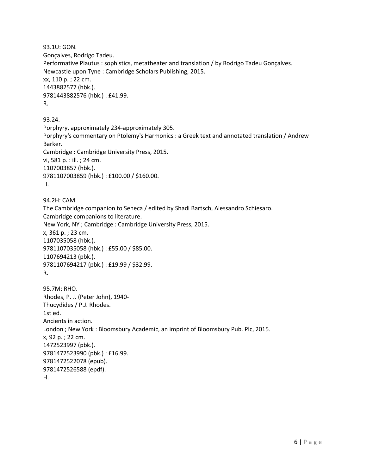93.1U: GON. Gonçalves, Rodrigo Tadeu. Performative Plautus : sophistics, metatheater and translation / by Rodrigo Tadeu Gonçalves. Newcastle upon Tyne : Cambridge Scholars Publishing, 2015. xx, 110 p. ; 22 cm. 1443882577 (hbk.). 9781443882576 (hbk.) : £41.99. R. 93.24.

Porphyry, approximately 234-approximately 305. Porphyry's commentary on Ptolemy's Harmonics : a Greek text and annotated translation / Andrew Barker. Cambridge : Cambridge University Press, 2015. vi, 581 p. : ill. ; 24 cm. 1107003857 (hbk.). 9781107003859 (hbk.) : £100.00 / \$160.00. H.

94.2H: CAM. The Cambridge companion to Seneca / edited by Shadi Bartsch, Alessandro Schiesaro. Cambridge companions to literature. New York, NY ; Cambridge : Cambridge University Press, 2015. x, 361 p. ; 23 cm. 1107035058 (hbk.). 9781107035058 (hbk.) : £55.00 / \$85.00. 1107694213 (pbk.). 9781107694217 (pbk.) : £19.99 / \$32.99. R.

```
95.7M: RHO. 
Rhodes, P. J. (Peter John), 1940-
Thucydides / P.J. Rhodes.
1st ed.
Ancients in action. 
London ; New York : Bloomsbury Academic, an imprint of Bloomsbury Pub. Plc, 2015.
x, 92 p. ; 22 cm.
1472523997 (pbk.). 
9781472523990 (pbk.) : £16.99. 
9781472522078 (epub). 
9781472526588 (epdf). 
H.
```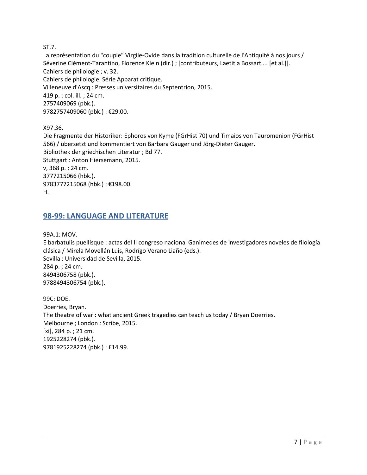ST.7.

La représentation du "couple" Virgile-Ovide dans la tradition culturelle de l'Antiquité à nos jours / Séverine Clément-Tarantino, Florence Klein (dir.) ; [contributeurs, Laetitia Bossart ... [et al.]]. Cahiers de philologie ; v. 32. Cahiers de philologie. Série Apparat critique. Villeneuve d'Ascq : Presses universitaires du Septentrion, 2015. 419 p. : col. ill. ; 24 cm. 2757409069 (pbk.). 9782757409060 (pbk.) : €29.00.

X97.36.

Die Fragmente der Historiker: Ephoros von Kyme (FGrHist 70) und Timaios von Tauromenion (FGrHist 566) / übersetzt und kommentiert von Barbara Gauger und Jörg-Dieter Gauger. Bibliothek der griechischen Literatur ; Bd 77. Stuttgart : Anton Hiersemann, 2015. v, 368 p. ; 24 cm. 3777215066 (hbk.). 9783777215068 (hbk.) : €198.00. H.

#### <span id="page-6-0"></span>**98-99: LANGUAGE AND LITERATURE**

99A.1: MOV.

E barbatulis puellisque : actas del II congreso nacional Ganimedes de investigadores noveles de filología clásica / Mirela Movellán Luis, Rodrígo Verano Liaño (eds.). Sevilla : Universidad de Sevilla, 2015. 284 p. ; 24 cm. 8494306758 (pbk.). 9788494306754 (pbk.).

99C: DOE. Doerries, Bryan. The theatre of war : what ancient Greek tragedies can teach us today / Bryan Doerries. Melbourne ; London : Scribe, 2015. [xi], 284 p. ; 21 cm. 1925228274 (pbk.). 9781925228274 (pbk.) : £14.99.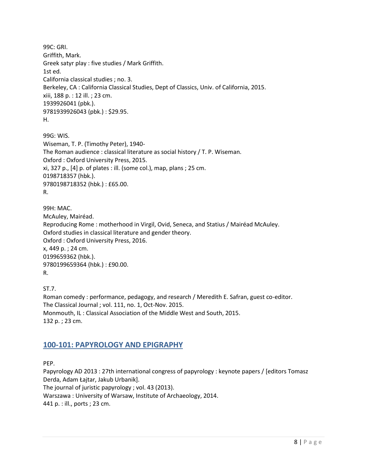99C: GRI. Griffith, Mark. Greek satyr play : five studies / Mark Griffith. 1st ed. California classical studies ; no. 3. Berkeley, CA : California Classical Studies, Dept of Classics, Univ. of California, 2015. xiii, 188 p. : 12 ill. ; 23 cm. 1939926041 (pbk.). 9781939926043 (pbk.) : \$29.95. H.

99G: WIS. Wiseman, T. P. (Timothy Peter), 1940- The Roman audience : classical literature as social history / T. P. Wiseman. Oxford : Oxford University Press, 2015. xi, 327 p., [4] p. of plates : ill. (some col.), map, plans ; 25 cm. 0198718357 (hbk.). 9780198718352 (hbk.) : £65.00. R.

99H: MAC. McAuley, Mairéad. Reproducing Rome : motherhood in Virgil, Ovid, Seneca, and Statius / Mairéad McAuley. Oxford studies in classical literature and gender theory. Oxford : Oxford University Press, 2016. x, 449 p. ; 24 cm. 0199659362 (hbk.). 9780199659364 (hbk.) : £90.00. R.

ST.7.

Roman comedy : performance, pedagogy, and research / Meredith E. Safran, guest co-editor. The Classical Journal ; vol. 111, no. 1, Oct-Nov. 2015. Monmouth, IL : Classical Association of the Middle West and South, 2015. 132 p. ; 23 cm.

## <span id="page-7-0"></span>**100-101: PAPYROLOGY AND EPIGRAPHY**

PEP.

Papyrology AD 2013 : 27th international congress of papyrology : keynote papers / [editors Tomasz Derda, Adam Łajtar, Jakub Urbanik].

The journal of juristic papyrology ; vol. 43 (2013).

Warszawa : University of Warsaw, Institute of Archaeology, 2014.

441 p. : ill., ports ; 23 cm.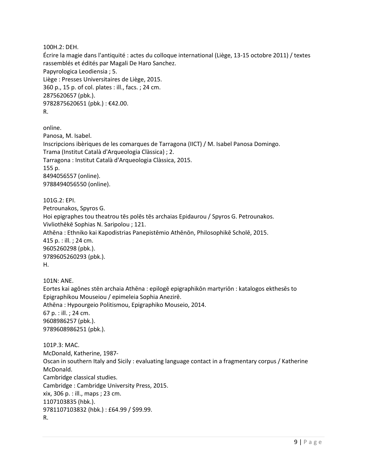100H.2: DEH.

Écrire la magie dans l'antiquité : actes du colloque international (Liège, 13-15 octobre 2011) / textes rassemblés et édités par Magali De Haro Sanchez. Papyrologica Leodiensia ; 5. Liège : Presses Universitaires de Liège, 2015. 360 p., 15 p. of col. plates : ill., facs. ; 24 cm. 2875620657 (pbk.). 9782875620651 (pbk.) : €42.00. R.

online. Panosa, M. Isabel. Inscripcions ibèriques de les comarques de Tarragona (IICT) / M. Isabel Panosa Domingo. Trama (Institut Català d'Arqueologia Clàssica) ; 2. Tarragona : Institut Català d'Arqueologia Clàssica, 2015. 155 p. 8494056557 (online). 9788494056550 (online).

101G.2: EPI. Petrounakos, Spyros G. Hoi epigraphes tou theatrou tēs polēs tēs archaias Epidaurou / Spyros G. Petrounakos. Vivliothēkē Sophias N. Saripolou ; 121. Athēna : Ethniko kai Kapodistrias Panepistēmio Athēnōn, Philosophikē Scholē, 2015. 415 p. : ill. ; 24 cm. 9605260298 (pbk.). 9789605260293 (pbk.). H.

101N: ANE. Eortes kai agōnes stēn archaia Athēna : epilogē epigraphikōn martyriōn : katalogos ekthesēs to Epigraphikou Mouseiou / epimeleia Sophia Anezirē. Athēna : Hypourgeio Politismou, Epigraphiko Mouseio, 2014. 67 p. : ill. ; 24 cm. 9608986257 (pbk.). 9789608986251 (pbk.).

101P.3: MAC. McDonald, Katherine, 1987- Oscan in southern Italy and Sicily : evaluating language contact in a fragmentary corpus / Katherine McDonald. Cambridge classical studies. Cambridge : Cambridge University Press, 2015. xix, 306 p. : ill., maps ; 23 cm. 1107103835 (hbk.). 9781107103832 (hbk.) : £64.99 / \$99.99. R.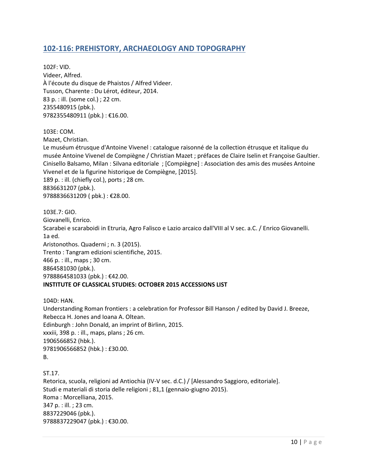#### <span id="page-9-0"></span>**102-116: PREHISTORY, ARCHAEOLOGY AND TOPOGRAPHY**

102F: VID. Videer, Alfred. À l'écoute du disque de Phaistos / Alfred Videer. Tusson, Charente : Du Lérot, éditeur, 2014. 83 p. : ill. (some col.) ; 22 cm. 2355480915 (pbk.). 9782355480911 (pbk.) : €16.00.

103E: COM.

Mazet, Christian.

Le muséum étrusque d'Antoine Vivenel : catalogue raisonné de la collection étrusque et italique du musée Antoine Vivenel de Compiègne / Christian Mazet ; préfaces de Claire Iselin et Françoise Gaultier. Cinisello Balsamo, Milan : Silvana editoriale ; [Compiègne] : Association des amis des musées Antoine Vivenel et de la figurine historique de Compiègne, [2015]. 189 p. : ill. (chiefly col.), ports ; 28 cm. 8836631207 (pbk.). 9788836631209 ( pbk.) : €28.00.

103E.7: GIO. Giovanelli, Enrico. Scarabei e scaraboidi in Etruria, Agro Falisco e Lazio arcaico dall'VIII al V sec. a.C. / Enrico Giovanelli. 1a ed. Aristonothos. Quaderni ; n. 3 (2015). Trento : Tangram edizioni scientifiche, 2015. 466 p. : ill., maps ; 30 cm. 8864581030 (pbk.). 9788864581033 (pbk.): €42.00. **INSTITUTE OF CLASSICAL STUDIES: OCTOBER 2015 ACCESSIONS LIST**

104D: HAN. Understanding Roman frontiers : a celebration for Professor Bill Hanson / edited by David J. Breeze, Rebecca H. Jones and Ioana A. Oltean. Edinburgh : John Donald, an imprint of Birlinn, 2015. xxxiii, 398 p. : ill., maps, plans ; 26 cm. 1906566852 (hbk.). 9781906566852 (hbk.) : £30.00. B.

ST.17. Retorica, scuola, religioni ad Antiochia (IV-V sec. d.C.) / [Alessandro Saggioro, editoriale]. Studi e materiali di storia delle religioni ; 81,1 (gennaio-giugno 2015). Roma : Morcelliana, 2015. 347 p. : ill. ; 23 cm. 8837229046 (pbk.). 9788837229047 (pbk.) : €30.00.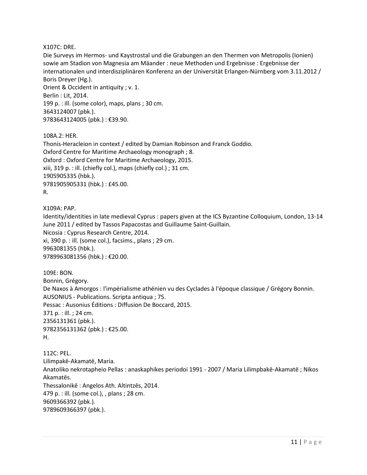X107C: DRE.

Die Surveys im Hermos- und Kaystrostal und die Grabungen an den Thermen von Metropolis (Ionien) sowie am Stadion von Magnesia am Mäander : neue Methoden und Ergebnisse : Ergebnisse der internationalen und interdisziplinären Konferenz an der Universität Erlangen-Nürnberg vom 3.11.2012 / Boris Dreyer (Hg.). Orient & Occident in antiquity ; v. 1.

Berlin : Lit, 2014. 199 p. : ill. (some color), maps, plans ; 30 cm. 3643124007 (pbk.). 9783643124005 (pbk.) : €39.90.

108A.2: HER. Thonis-Heracleion in context / edited by Damian Robinson and Franck Goddio. Oxford Centre for Maritime Archaeology monograph ; 8. Oxford : Oxford Centre for Maritime Archaeology, 2015. xiii, 319 p. : ill. (chiefly col.), maps (chiefly col.) ; 31 cm. 1905905335 (hbk.). 9781905905331 (hbk.) : £45.00. R.

X109A: PAP. Identity/identities in late medieval Cyprus : papers given at the ICS Byzantine Colloquium, London, 13-14 June 2011 / edited by Tassos Papacostas and Guillaume Saint-Guillain. Nicosia : Cyprus Research Centre, 2014. xi, 390 p. : ill. (some col.), facsims., plans ; 29 cm. 9963081355 (hbk.). 9789963081356 (hbk.) : €20.00.

109E: BON. Bonnin, Grégory. De Naxos à Amorgos : l'impérialisme athénien vu des Cyclades à l'époque classique / Grégory Bonnin. AUSONIUS - Publications. Scripta antiqua ; 75. Pessac : Ausonius Éditions : Diffusion De Boccard, 2015. 371 p. : ill. ; 24 cm. 2356131361 (pbk.). 9782356131362 (pbk.) : €25.00. H.

112C: PEL. Lilimpakē-Akamatē, Maria. Anatoliko nekrotapheio Pellas : anaskaphikes periodoi 1991 - 2007 / Maria Lilimpbakē-Akamatē ; Nikos Akamatēs. Thessalonikē : Angelos Ath. Altintzēs, 2014. 479 p. : ill. (some col.), , plans ; 28 cm. 9609366392 (pbk.). 9789609366397 (pbk.).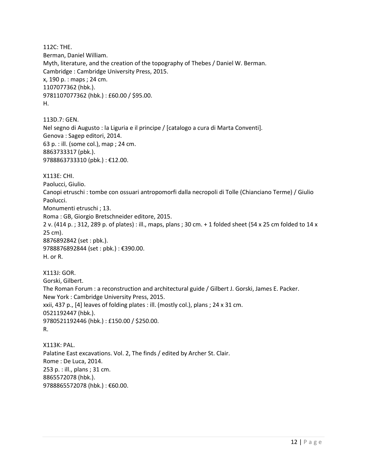112C: THE. Berman, Daniel William. Myth, literature, and the creation of the topography of Thebes / Daniel W. Berman. Cambridge : Cambridge University Press, 2015. x, 190 p. : maps ; 24 cm. 1107077362 (hbk.). 9781107077362 (hbk.) : £60.00 / \$95.00. H.

113D.7: GEN. Nel segno di Augusto : la Liguria e il principe / [catalogo a cura di Marta Conventi]. Genova : Sagep editori, 2014. 63 p. : ill. (some col.), map ; 24 cm. 8863733317 (pbk.). 9788863733310 (pbk.) : €12.00.

X113E: CHI. Paolucci, Giulio. Canopi etruschi : tombe con ossuari antropomorfi dalla necropoli di Tolle (Chianciano Terme) / Giulio Paolucci. Monumenti etruschi ; 13. Roma : GB, Giorgio Bretschneider editore, 2015. 2 v. (414 p. ; 312, 289 p. of plates) : ill., maps, plans ; 30 cm. + 1 folded sheet (54 x 25 cm folded to 14 x 25 cm). 8876892842 (set : pbk.). 9788876892844 (set : pbk.) : €390.00. H. or R.

X113J: GOR. Gorski, Gilbert. The Roman Forum : a reconstruction and architectural guide / Gilbert J. Gorski, James E. Packer. New York : Cambridge University Press, 2015. xxii, 437 p., [4] leaves of folding plates : ill. (mostly col.), plans ; 24 x 31 cm. 0521192447 (hbk.). 9780521192446 (hbk.) : £150.00 / \$250.00. R.

X113K: PAL. Palatine East excavations. Vol. 2, The finds / edited by Archer St. Clair. Rome : De Luca, 2014. 253 p. : ill., plans ; 31 cm. 8865572078 (hbk.). 9788865572078 (hbk.) : €60.00.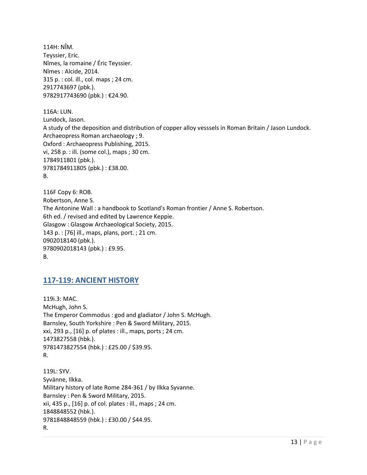114H: NÎM. Teyssier, Eric. Nîmes, la romaine / Éric Teyssier. Nîmes : Alcide, 2014. 315 p. : col. ill., col. maps ; 24 cm. 2917743697 (pbk.). 9782917743690 (pbk.) : €24.90.

116A: LUN. Lundock, Jason. A study of the deposition and distribution of copper alloy vesssels in Roman Britain / Jason Lundock. Archaeopress Roman archaeology ; 9. Oxford : Archaeopress Publishing, 2015. vi, 258 p. : ill. (some col.), maps ; 30 cm. 1784911801 (pbk.). 9781784911805 (pbk.) : £38.00. B.

116F Copy 6: ROB. Robertson, Anne S. The Antonine Wall : a handbook to Scotland's Roman frontier / Anne S. Robertson. 6th ed. / revised and edited by Lawrence Keppie. Glasgow : Glasgow Archaeological Society, 2015. 143 p. : [76] ill., maps, plans, port. ; 21 cm. 0902018140 (pbk.). 9780902018143 (pbk.) : £9.95. B.

## <span id="page-12-0"></span>**117-119: ANCIENT HISTORY**

119i.3: MAC. McHugh, John S. The Emperor Commodus : god and gladiator / John S. McHugh. Barnsley, South Yorkshire : Pen & Sword Military, 2015. xxi, 293 p., [16] p. of plates : ill., maps, ports ; 24 cm. 1473827558 (hbk.). 9781473827554 (hbk.) : £25.00 / \$39.95. R.

119L: SYV. Syvänne, Ilkka. Military history of late Rome 284-361 / by Ilkka Syvanne. Barnsley : Pen & Sword Military, 2015. xii, 435 p., [16] p. of col. plates : ill., maps ; 24 cm. 1848848552 (hbk.). 9781848848559 (hbk.) : £30.00 / \$44.95. R.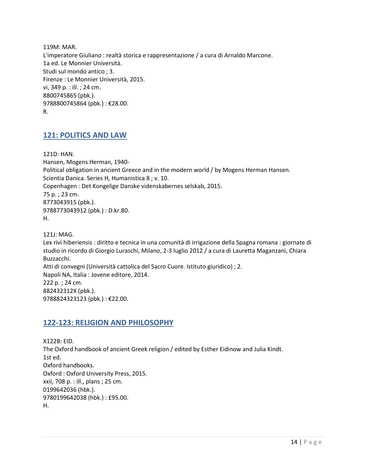119M: MAR. L'imperatore Giuliano : realtà storica e rappresentazione / a cura di Arnaldo Marcone. 1a ed. Le Monnier Università. Studi sul mondo antico ; 3. Firenze : Le Monnier Università, 2015. vi, 349 p. : ill. ; 24 cm. 8800745865 (pbk.). 9788800745864 (pbk.) : €28.00. R.

#### <span id="page-13-0"></span>**121: POLITICS AND LAW**

121D: HAN. Hansen, Mogens Herman, 1940- Political obligation in ancient Greece and in the modern world / by Mogens Herman Hansen. Scientia Danica. Series H, Humanistica 8 ; v. 10. Copenhagen : Det Kongelige Danske videnskabernes selskab, 2015. 75 p. ; 23 cm. 8773043915 (pbk.). 9788773043912 (pbk.) : D.kr.80. H.

121J: MAG. Lex rivi hiberiensis : diritto e tecnica in una comunità di irrigazione della Spagna romana : giornate di studio in ricordo di Giorgio Luraschi, Milano, 2-3 luglio 2012 / a cura di Lauretta Maganzani, Chiara Buzzacchi. Atti di convegni (Università cattolica del Sacro Cuore. Istituto giuridico) ; 2. Napoli NA, Italia : Jovene editore, 2014. 222 p. ; 24 cm. 882432312X (pbk.). 9788824323123 (pbk.) : €22.00.

## <span id="page-13-1"></span>**122-123: RELIGION AND PHILOSOPHY**

X122B: EID. The Oxford handbook of ancient Greek religion / edited by Esther Eidinow and Julia Kindt. 1st ed. Oxford handbooks. Oxford : Oxford University Press, 2015. xxii, 708 p. : ill., plans ; 25 cm. 0199642036 (hbk.). 9780199642038 (hbk.) : £95.00. H.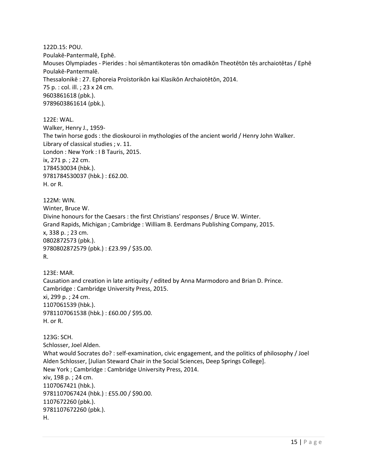122D.15: POU. Poulakē-Pantermalē, Ephē. Mouses Olympiades - Pierides : hoi sēmantikoteras tōn omadikōn Theotētōn tēs archaiotētas / Ephē Poulakē-Pantermalē. Thessalonikē : 27. Ephoreia Proïstorikōn kai Klasikōn Archaiotētōn, 2014. 75 p. : col. ill. ; 23 x 24 cm. 9603861618 (pbk.). 9789603861614 (pbk.).

122E: WAL. Walker, Henry J., 1959- The twin horse gods : the dioskouroi in mythologies of the ancient world / Henry John Walker. Library of classical studies ; v. 11. London : New York : I B Tauris, 2015. ix, 271 p. ; 22 cm. 1784530034 (hbk.). 9781784530037 (hbk.) : £62.00. H. or R.

122M: WIN. Winter, Bruce W. Divine honours for the Caesars : the first Christians' responses / Bruce W. Winter. Grand Rapids, Michigan ; Cambridge : William B. Eerdmans Publishing Company, 2015. x, 338 p. ; 23 cm. 0802872573 (pbk.). 9780802872579 (pbk.) : £23.99 / \$35.00. R.

123E: MAR. Causation and creation in late antiquity / edited by Anna Marmodoro and Brian D. Prince. Cambridge : Cambridge University Press, 2015. xi, 299 p. ; 24 cm. 1107061539 (hbk.). 9781107061538 (hbk.) : £60.00 / \$95.00. H. or R.

123G: SCH. Schlosser, Joel Alden. What would Socrates do? : self-examination, civic engagement, and the politics of philosophy / Joel Alden Schlosser, [Julian Steward Chair in the Social Sciences, Deep Springs College]. New York ; Cambridge : Cambridge University Press, 2014. xiv, 198 p. ; 24 cm. 1107067421 (hbk.). 9781107067424 (hbk.) : £55.00 / \$90.00. 1107672260 (pbk.). 9781107672260 (pbk.). H.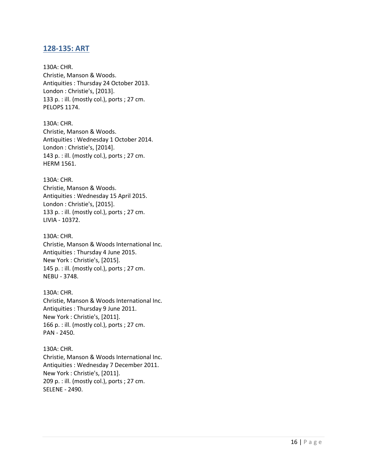#### <span id="page-15-0"></span>**128-135: ART**

130A: CHR. Christie, Manson & Woods. Antiquities : Thursday 24 October 2013. London : Christie's, [2013]. 133 p. : ill. (mostly col.), ports ; 27 cm. PELOPS 1174.

130A: CHR. Christie, Manson & Woods. Antiquities : Wednesday 1 October 2014. London : Christie's, [2014]. 143 p. : ill. (mostly col.), ports ; 27 cm. HERM 1561.

130A: CHR. Christie, Manson & Woods. Antiquities : Wednesday 15 April 2015. London : Christie's, [2015]. 133 p. : ill. (mostly col.), ports ; 27 cm. LIVIA - 10372.

130A: CHR. Christie, Manson & Woods International Inc. Antiquities : Thursday 4 June 2015. New York : Christie's, [2015]. 145 p. : ill. (mostly col.), ports ; 27 cm. NEBU - 3748.

130A: CHR. Christie, Manson & Woods International Inc. Antiquities : Thursday 9 June 2011. New York : Christie's, [2011]. 166 p. : ill. (mostly col.), ports ; 27 cm. PAN - 2450.

130A: CHR. Christie, Manson & Woods International Inc. Antiquities : Wednesday 7 December 2011. New York : Christie's, [2011]. 209 p. : ill. (mostly col.), ports ; 27 cm. SELENE - 2490.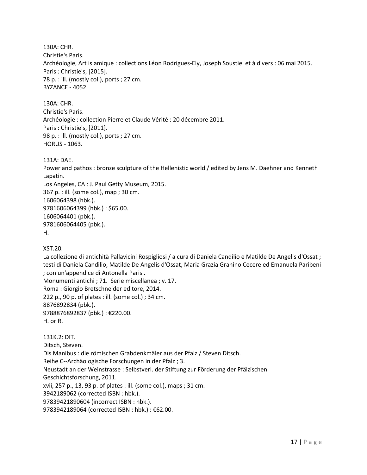130A: CHR. Christie's Paris. Archéologie, Art islamique : collections Léon Rodrigues-Ely, Joseph Soustiel et à divers : 06 mai 2015. Paris : Christie's, [2015]. 78 p. : ill. (mostly col.), ports ; 27 cm. BYZANCE - 4052.

130A: CHR. Christie's Paris. Archéologie : collection Pierre et Claude Vérité : 20 décembre 2011. Paris : Christie's, [2011]. 98 p. : ill. (mostly col.), ports ; 27 cm. HORUS - 1063.

131A: DAE.

Power and pathos : bronze sculpture of the Hellenistic world / edited by Jens M. Daehner and Kenneth Lapatin.

Los Angeles, CA : J. Paul Getty Museum, 2015. 367 p. : ill. (some col.), map ; 30 cm. 1606064398 (hbk.). 9781606064399 (hbk.) : \$65.00. 1606064401 (pbk.). 9781606064405 (pbk.). H.

XST.20.

La collezione di antichità Pallavicini Rospigliosi / a cura di Daniela Candilio e Matilde De Angelis d'Ossat ; testi di Daniela Candilio, Matilde De Angelis d'Ossat, Maria Grazia Granino Cecere ed Emanuela Paribeni ; con un'appendice di Antonella Parisi. Monumenti antichi ; 71. Serie miscellanea ; v. 17. Roma : Giorgio Bretschneider editore, 2014.

222 p., 90 p. of plates : ill. (some col.) ; 34 cm. 8876892834 (pbk.). 9788876892837 (pbk.) : €220.00.

H. or R.

131K.2: DIT. Ditsch, Steven. Dis Manibus : die römischen Grabdenkmäler aus der Pfalz / Steven Ditsch. Reihe C--Archäologische Forschungen in der Pfalz ; 3. Neustadt an der Weinstrasse : Selbstverl. der Stiftung zur Förderung der Pfälzischen Geschichtsforschung, 2011. xvii, 257 p., 13, 93 p. of plates : ill. (some col.), maps ; 31 cm. 3942189062 (corrected ISBN : hbk.). 97839421890604 (incorrect ISBN : hbk.). 9783942189064 (corrected ISBN : hbk.) : €62.00.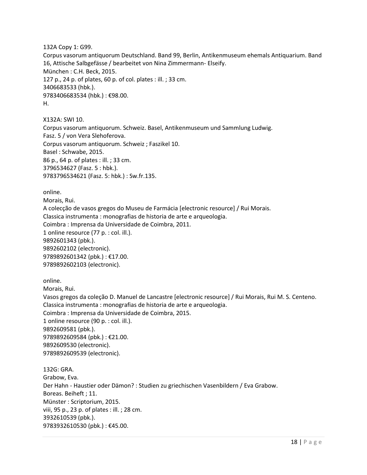132A Copy 1: G99.

Corpus vasorum antiquorum Deutschland. Band 99, Berlin, Antikenmuseum ehemals Antiquarium. Band 16, Attische Salbgefässe / bearbeitet von Nina Zimmermann- Elseify. München : C.H. Beck, 2015. 127 p., 24 p. of plates, 60 p. of col. plates : ill. ; 33 cm. 3406683533 (hbk.). 9783406683534 (hbk.) : €98.00. H.

X132A: SWI 10. Corpus vasorum antiquorum. Schweiz. Basel, Antikenmuseum und Sammlung Ludwig. Fasz. 5 / von Vera Slehoferova. Corpus vasorum antiquorum. Schweiz ; Faszikel 10. Basel : Schwabe, 2015. 86 p., 64 p. of plates : ill. ; 33 cm. 3796534627 (Fasz. 5 : hbk.). 9783796534621 (Fasz. 5: hbk.) : Sw.fr.135.

online.

Morais, Rui. A colecção de vasos gregos do Museu de Farmácia [electronic resource] / Rui Morais. Classica instrumenta : monografias de historia de arte e arqueologia. Coimbra : Imprensa da Universidade de Coimbra, 2011. 1 online resource (77 p. : col. ill.). 9892601343 (pbk.). 9892602102 (electronic). 9789892601342 (pbk.) : €17.00. 9789892602103 (electronic).

online.

Morais, Rui.

Vasos gregos da coleção D. Manuel de Lancastre [electronic resource] / Rui Morais, Rui M. S. Centeno. Classica instrumenta : monografias de historia de arte e arqueologia. Coimbra : Imprensa da Universidade de Coimbra, 2015. 1 online resource (90 p. : col. ill.). 9892609581 (pbk.). 9789892609584 (pbk.) : €21.00. 9892609530 (electronic). 9789892609539 (electronic). 132G: GRA.

Grabow, Eva. Der Hahn - Haustier oder Dämon? : Studien zu griechischen Vasenbildern / Eva Grabow. Boreas. Beiheft ; 11. Münster : Scriptorium, 2015. viii, 95 p., 23 p. of plates : ill. ; 28 cm. 3932610539 (pbk.). 9783932610530 (pbk.) : €45.00.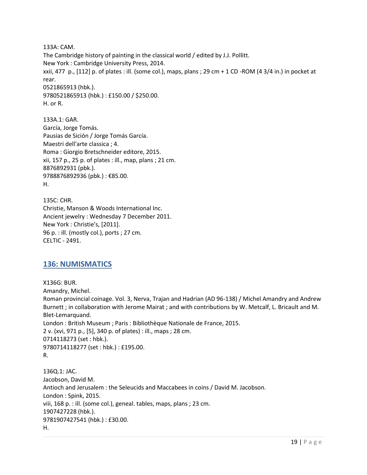133A: CAM. The Cambridge history of painting in the classical world / edited by J.J. Pollitt. New York : Cambridge University Press, 2014. xxii, 477 p., [112] p. of plates : ill. (some col.), maps, plans ; 29 cm + 1 CD -ROM (4 3/4 in.) in pocket at rear. 0521865913 (hbk.). 9780521865913 (hbk.) : £150.00 / \$250.00. H. or R.

133A.1: GAR. García, Jorge Tomás. Pausias de Sición / Jorge Tomás García. Maestri dell'arte classica ; 4. Roma : Giorgio Bretschneider editore, 2015. xii, 157 p., 25 p. of plates : ill., map, plans ; 21 cm. 8876892931 (pbk.). 9788876892936 (pbk.) : €85.00. H.

135C: CHR. Christie, Manson & Woods International Inc. Ancient jewelry : Wednesday 7 December 2011. New York : Christie's, [2011]. 96 p. : ill. (mostly col.), ports ; 27 cm. CELTIC - 2491.

## <span id="page-18-0"></span>**136: NUMISMATICS**

X136G: BUR. Amandry, Michel. Roman provincial coinage. Vol. 3, Nerva, Trajan and Hadrian (AD 96-138) / Michel Amandry and Andrew Burnett ; in collaboration with Jerome Mairat ; and with contributions by W. Metcalf, L. Bricault and M. Blet-Lemarquand. London : British Museum ; Paris : Bibliothèque Nationale de France, 2015. 2 v. (xvi, 971 p., [5], 340 p. of plates) : ill., maps ; 28 cm. 0714118273 (set : hbk.). 9780714118277 (set : hbk.) : £195.00. R.

136Q.1: JAC. Jacobson, David M. Antioch and Jerusalem : the Seleucids and Maccabees in coins / David M. Jacobson. London : Spink, 2015. viii, 168 p. : ill. (some col.), geneal. tables, maps, plans ; 23 cm. 1907427228 (hbk.). 9781907427541 (hbk.) : £30.00. H.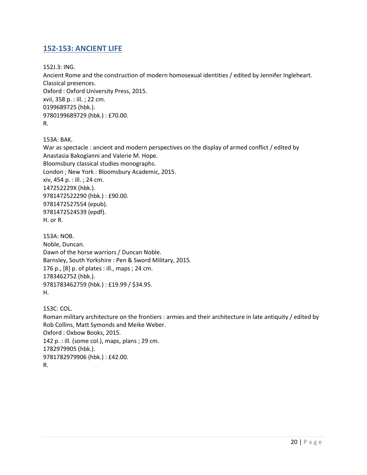#### <span id="page-19-0"></span>**152-153: ANCIENT LIFE**

152J.3: ING.

Ancient Rome and the construction of modern homosexual identities / edited by Jennifer Ingleheart. Classical presences. Oxford : Oxford University Press, 2015. xvii, 358 p. : ill. ; 22 cm. 0199689725 (hbk.). 9780199689729 (hbk.) : £70.00. R.

153A: BAK.

War as spectacle : ancient and modern perspectives on the display of armed conflict / edited by Anastasia Bakogianni and Valerie M. Hope. Bloomsbury classical studies monographs. London ; New York : Bloomsbury Academic, 2015. xiv, 454 p. : ill. ; 24 cm. 147252229X (hbk.). 9781472522290 (hbk.) : £90.00. 9781472527554 (epub). 9781472524539 (epdf). H. or R.

153A: NOB. Noble, Duncan. Dawn of the horse warriors / Duncan Noble. Barnsley, South Yorkshire : Pen & Sword Military, 2015. 176 p., [8] p. of plates : ill., maps ; 24 cm. 1783462752 (hbk.). 9781783462759 (hbk.) : £19.99 / \$34.95. H.

153C: COL. Roman military architecture on the frontiers : armies and their architecture in late antiquity / edited by Rob Collins, Matt Symonds and Meike Weber. Oxford : Oxbow Books, 2015. 142 p. : ill. (some col.), maps, plans ; 29 cm. 1782979905 (hbk.). 9781782979906 (hbk.) : £42.00. R.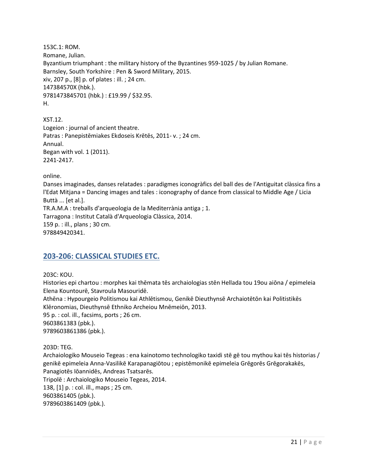153C.1: ROM. Romane, Julian. Byzantium triumphant : the military history of the Byzantines 959-1025 / by Julian Romane. Barnsley, South Yorkshire : Pen & Sword Military, 2015. xiv, 207 p., [8] p. of plates : ill. ; 24 cm. 147384570X (hbk.). 9781473845701 (hbk.) : £19.99 / \$32.95. H.

XST.12. Logeion : journal of ancient theatre. Patras : Panepistēmiakes Ekdoseis Krētēs, 2011- v. ; 24 cm. Annual. Began with vol. 1 (2011). 2241-2417.

online.

Danses imaginades, danses relatades : paradigmes iconogràfics del ball des de l'Antiguitat clàssica fins a l'Edat Mitjana = Dancing images and tales : iconography of dance from classical to Middle Age / Licia Buttà ... [et al.]. TR.A.M.A : treballs d'arqueologia de la Mediterrània antiga ; 1. Tarragona : Institut Català d'Arqueologia Clàssica, 2014. 159 p. : ill., plans ; 30 cm. 978849420341.

#### <span id="page-20-0"></span>**203-206: CLASSICAL STUDIES ETC.**

203C: KOU.

Histories epi chartou : morphes kai thēmata tēs archaiologias stēn Hellada tou 19ou aiōna / epimeleia Elena Kountourē, Stavroula Masouridē. Athēna : Hypourgeio Politismou kai Athlētismou, Genikē Dieuthynsē Archaiotētōn kai Politistikēs Klēronomias, Dieuthynsē Ethniko Archeiou Mnēmeiōn, 2013. 95 p. : col. ill., facsims, ports ; 26 cm. 9603861383 (pbk.). 9789603861386 (pbk.).

203D: TEG.

Archaiologiko Mouseio Tegeas : ena kainotomo technologiko taxidi stē gē tou mythou kai tēs historias / genikē epimeleia Anna-Vasilikē Karapanagiōtou ; epistēmonikē epimeleia Grēgorēs Grēgorakakēs, Panagiotēs Iōannidēs, Andreas Tsatsarēs. Tripolē : Archaiologiko Mouseio Tegeas, 2014. 138, [1] p. : col. ill., maps ; 25 cm. 9603861405 (pbk.). 9789603861409 (pbk.).